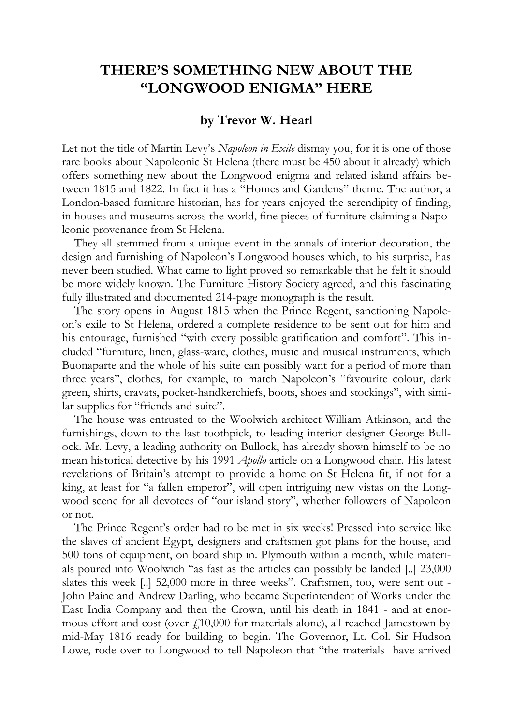## **THERE'S SOMETHING NEW ABOUT THE "LONGWOOD ENIGMA" HERE**

## **by Trevor W. Hearl**

Let not the title of Martin Levy's *Napoleon in Exile* dismay you, for it is one of those rare books about Napoleonic St Helena (there must be 450 about it already) which offers something new about the Longwood enigma and related island affairs between 1815 and 1822. In fact it has a "Homes and Gardens" theme. The author, a London-based furniture historian, has for years enjoyed the serendipity of finding, in houses and museums across the world, fine pieces of furniture claiming a Napoleonic provenance from St Helena.

They all stemmed from a unique event in the annals of interior decoration, the design and furnishing of Napoleon's Longwood houses which, to his surprise, has never been studied. What came to light proved so remarkable that he felt it should be more widely known. The Furniture History Society agreed, and this fascinating fully illustrated and documented 214-page monograph is the result.

The story opens in August 1815 when the Prince Regent, sanctioning Napoleon's exile to St Helena, ordered a complete residence to be sent out for him and his entourage, furnished "with every possible gratification and comfort". This included "furniture, linen, glass-ware, clothes, music and musical instruments, which Buonaparte and the whole of his suite can possibly want for a period of more than three years", clothes, for example, to match Napoleon's "favourite colour, dark green, shirts, cravats, pocket-handkerchiefs, boots, shoes and stockings", with similar supplies for "friends and suite".

The house was entrusted to the Woolwich architect William Atkinson, and the furnishings, down to the last toothpick, to leading interior designer George Bullock. Mr. Levy, a leading authority on Bullock, has already shown himself to be no mean historical detective by his 1991 *Apollo* article on a Longwood chair. His latest revelations of Britain's attempt to provide a home on St Helena fit, if not for a king, at least for "a fallen emperor", will open intriguing new vistas on the Longwood scene for all devotees of "our island story", whether followers of Napoleon or not.

The Prince Regent's order had to be met in six weeks! Pressed into service like the slaves of ancient Egypt, designers and craftsmen got plans for the house, and 500 tons of equipment, on board ship in. Plymouth within a month, while materials poured into Woolwich "as fast as the articles can possibly be landed [..] 23,000 slates this week [..] 52,000 more in three weeks". Craftsmen, too, were sent out - John Paine and Andrew Darling, who became Superintendent of Works under the East India Company and then the Crown, until his death in 1841 - and at enormous effort and cost (over  $f<sub>1</sub>10,000$  for materials alone), all reached Jamestown by mid-May 1816 ready for building to begin. The Governor, Lt. Col. Sir Hudson Lowe, rode over to Longwood to tell Napoleon that "the materials have arrived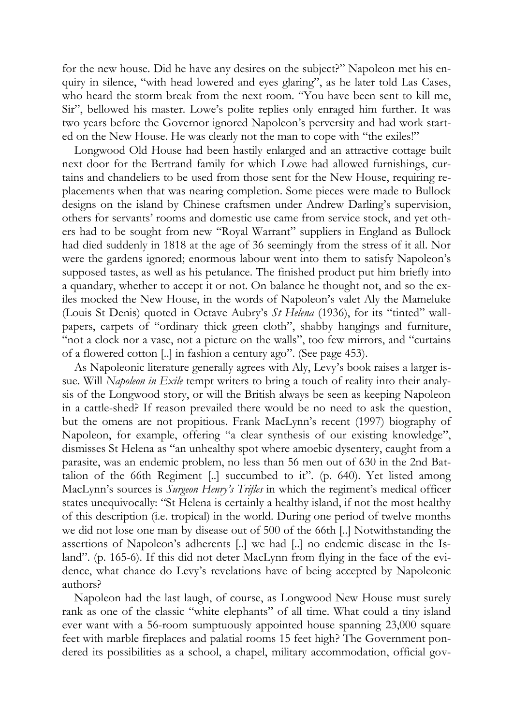for the new house. Did he have any desires on the subject?" Napoleon met his enquiry in silence, "with head lowered and eyes glaring", as he later told Las Cases, who heard the storm break from the next room. "You have been sent to kill me, Sir", bellowed his master. Lowe's polite replies only enraged him further. It was two years before the Governor ignored Napoleon's perversity and had work started on the New House. He was clearly not the man to cope with "the exiles!"

Longwood Old House had been hastily enlarged and an attractive cottage built next door for the Bertrand family for which Lowe had allowed furnishings, curtains and chandeliers to be used from those sent for the New House, requiring replacements when that was nearing completion. Some pieces were made to Bullock designs on the island by Chinese craftsmen under Andrew Darling's supervision, others for servants' rooms and domestic use came from service stock, and yet others had to be sought from new "Royal Warrant" suppliers in England as Bullock had died suddenly in 1818 at the age of 36 seemingly from the stress of it all. Nor were the gardens ignored; enormous labour went into them to satisfy Napoleon's supposed tastes, as well as his petulance. The finished product put him briefly into a quandary, whether to accept it or not. On balance he thought not, and so the exiles mocked the New House, in the words of Napoleon's valet Aly the Mameluke (Louis St Denis) quoted in Octave Aubry's *St Helena* (1936), for its "tinted" wallpapers, carpets of "ordinary thick green cloth", shabby hangings and furniture, "not a clock nor a vase, not a picture on the walls", too few mirrors, and "curtains of a flowered cotton [..] in fashion a century ago". (See page 453).

As Napoleonic literature generally agrees with Aly, Levy's book raises a larger issue. Will *Napoleon in Exile* tempt writers to bring a touch of reality into their analysis of the Longwood story, or will the British always be seen as keeping Napoleon in a cattle-shed? If reason prevailed there would be no need to ask the question, but the omens are not propitious. Frank MacLynn's recent (1997) biography of Napoleon, for example, offering "a clear synthesis of our existing knowledge", dismisses St Helena as "an unhealthy spot where amoebic dysentery, caught from a parasite, was an endemic problem, no less than 56 men out of 630 in the 2nd Battalion of the 66th Regiment [..] succumbed to it". (p. 640). Yet listed among MacLynn's sources is *Surgeon Henry's Trifles* in which the regiment's medical officer states unequivocally: "St Helena is certainly a healthy island, if not the most healthy of this description (i.e. tropical) in the world. During one period of twelve months we did not lose one man by disease out of 500 of the 66th [..] Notwithstanding the assertions of Napoleon's adherents [..] we had [..] no endemic disease in the Island". (p. 165-6). If this did not deter MacLynn from flying in the face of the evidence, what chance do Levy's revelations have of being accepted by Napoleonic authors?

Napoleon had the last laugh, of course, as Longwood New House must surely rank as one of the classic "white elephants" of all time. What could a tiny island ever want with a 56-room sumptuously appointed house spanning 23,000 square feet with marble fireplaces and palatial rooms 15 feet high? The Government pondered its possibilities as a school, a chapel, military accommodation, official gov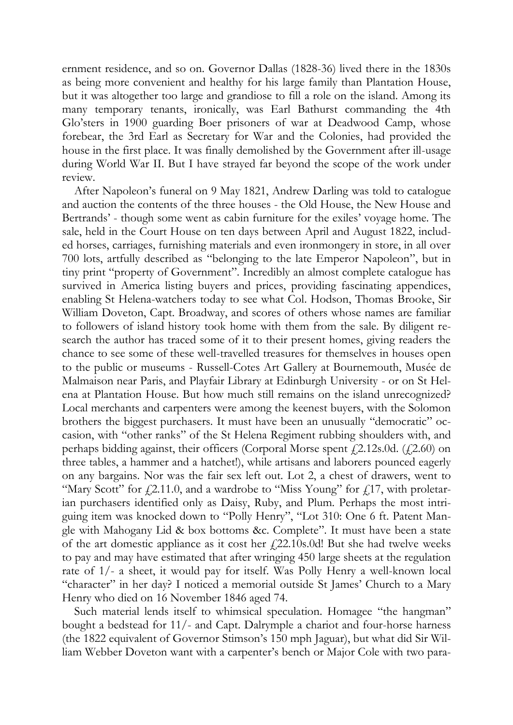ernment residence, and so on. Governor Dallas (1828-36) lived there in the 1830s as being more convenient and healthy for his large family than Plantation House, but it was altogether too large and grandiose to fill a role on the island. Among its many temporary tenants, ironically, was Earl Bathurst commanding the 4th Glo'sters in 1900 guarding Boer prisoners of war at Deadwood Camp, whose forebear, the 3rd Earl as Secretary for War and the Colonies, had provided the house in the first place. It was finally demolished by the Government after ill-usage during World War II. But I have strayed far beyond the scope of the work under review.

After Napoleon's funeral on 9 May 1821, Andrew Darling was told to catalogue and auction the contents of the three houses - the Old House, the New House and Bertrands' - though some went as cabin furniture for the exiles' voyage home. The sale, held in the Court House on ten days between April and August 1822, included horses, carriages, furnishing materials and even ironmongery in store, in all over 700 lots, artfully described as "belonging to the late Emperor Napoleon", but in tiny print "property of Government". Incredibly an almost complete catalogue has survived in America listing buyers and prices, providing fascinating appendices, enabling St Helena-watchers today to see what Col. Hodson, Thomas Brooke, Sir William Doveton, Capt. Broadway, and scores of others whose names are familiar to followers of island history took home with them from the sale. By diligent research the author has traced some of it to their present homes, giving readers the chance to see some of these well-travelled treasures for themselves in houses open to the public or museums - Russell-Cotes Art Gallery at Bournemouth, Musée de Malmaison near Paris, and Playfair Library at Edinburgh University - or on St Helena at Plantation House. But how much still remains on the island unrecognized? Local merchants and carpenters were among the keenest buyers, with the Solomon brothers the biggest purchasers. It must have been an unusually "democratic" occasion, with "other ranks" of the St Helena Regiment rubbing shoulders with, and perhaps bidding against, their officers (Corporal Morse spent  $\ell$ 2.12s.0d. ( $\ell$ 2.60) on three tables, a hammer and a hatchet!), while artisans and laborers pounced eagerly on any bargains. Nor was the fair sex left out. Lot 2, a chest of drawers, went to "Mary Scott" for  $\ell$ 2.11.0, and a wardrobe to "Miss Young" for  $\ell$ 17, with proletarian purchasers identified only as Daisy, Ruby, and Plum. Perhaps the most intriguing item was knocked down to "Polly Henry", "Lot 310: One 6 ft. Patent Mangle with Mahogany Lid & box bottoms &c. Complete". It must have been a state of the art domestic appliance as it cost her  $f<sub>1</sub>22.10s.0d$ ! But she had twelve weeks to pay and may have estimated that after wringing 450 large sheets at the regulation rate of 1/- a sheet, it would pay for itself. Was Polly Henry a well-known local "character" in her day? I noticed a memorial outside St James' Church to a Mary Henry who died on 16 November 1846 aged 74.

Such material lends itself to whimsical speculation. Homagee "the hangman" bought a bedstead for 11/- and Capt. Dalrymple a chariot and four-horse harness (the 1822 equivalent of Governor Stimson's 150 mph Jaguar), but what did Sir William Webber Doveton want with a carpenter's bench or Major Cole with two para-